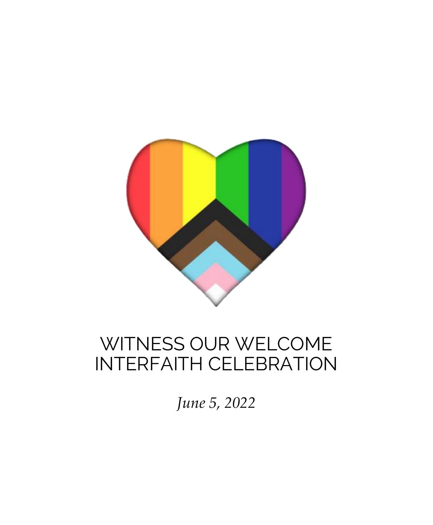

# WITNESS OUR WELCOME INTERFAITH CELEBRATION

*June 5, 2022*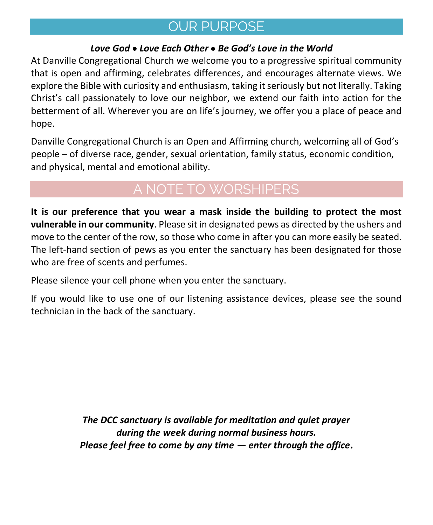## OUR PURPOSE

### *Love God* • *Love Each Other* • *Be God's Love in the World*

At Danville Congregational Church we welcome you to a progressive spiritual community that is open and affirming, celebrates differences, and encourages alternate views. We explore the Bible with curiosity and enthusiasm, taking it seriously but not literally. Taking Christ's call passionately to love our neighbor, we extend our faith into action for the betterment of all. Wherever you are on life's journey, we offer you a place of peace and hope.

Danville Congregational Church is an Open and Affirming church, welcoming all of God's people – of diverse race, gender, sexual orientation, family status, economic condition, and physical, mental and emotional ability.

## A NOTE TO WORSHIPERS

**It is our preference that you wear a mask inside the building to protect the most vulnerable in our community**. Please sit in designated pews as directed by the ushers and move to the center of the row, so those who come in after you can more easily be seated. The left-hand section of pews as you enter the sanctuary has been designated for those who are free of scents and perfumes.

Please silence your cell phone when you enter the sanctuary.

If you would like to use one of our listening assistance devices, please see the sound technician in the back of the sanctuary.

> *The DCC sanctuary is available for meditation and quiet prayer during the week during normal business hours. Please feel free to come by any time — enter through the office.*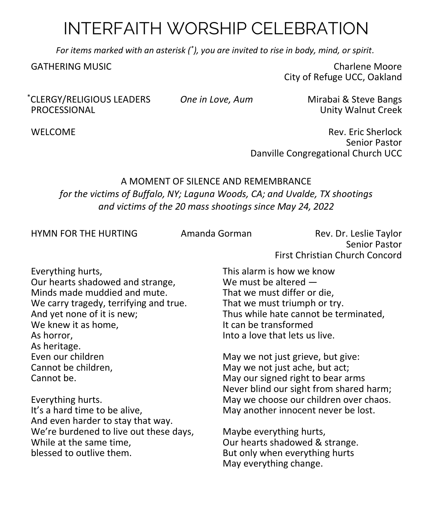## INTERFAITH WORSHIP CELEBRATION

*For items marked with an asterisk (\* ), you are invited to rise in body, mind, or spirit.*

GATHERING MUSIC **Charles Act and Service Charles Act and Service Charles Act and Service Charles Moore** City of Refuge UCC, Oakland

\*CLERGY/RELIGIOUS LEADERS *One in Love, Aum* Mirabai & Steve Bangs

Unity Walnut Creek

WELCOME **Rev. Eric Sherlock** Senior Pastor Danville Congregational Church UCC

### A MOMENT OF SILENCE AND REMEMBRANCE *for the victims of Buffalo, NY; Laguna Woods, CA; and Uvalde, TX shootings and victims of the 20 mass shootings since May 24, 2022*

HYMN FOR THE HURTING Amanda Gorman Rev. Dr. Leslie Taylor Senior Pastor First Christian Church Concord

Everything hurts, Our hearts shadowed and strange, Minds made muddied and mute. We carry tragedy, terrifying and true. And yet none of it is new; We knew it as home, As horror, As heritage. Even our children Cannot be children, Cannot be.

Everything hurts. It's a hard time to be alive, And even harder to stay that way. We're burdened to live out these days, While at the same time, blessed to outlive them.

This alarm is how we know We must be altered — That we must differ or die, That we must triumph or try. Thus while hate cannot be terminated, It can be transformed Into a love that lets us live.

May we not just grieve, but give: May we not just ache, but act; May our signed right to bear arms Never blind our sight from shared harm; May we choose our children over chaos. May another innocent never be lost.

Maybe everything hurts, Our hearts shadowed & strange. But only when everything hurts May everything change.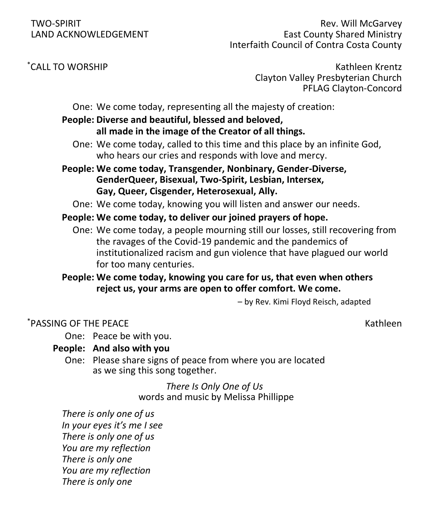TWO-SPIRIT Rev. Will McGarvey LAND ACKNOWLEDGEMENT **East County Shared Ministry** Interfaith Council of Contra Costa County

 $\check{C}$ CALL TO WORSHIP Kathleen Krentz Clayton Valley Presbyterian Church PFLAG Clayton-Concord

One: We come today, representing all the majesty of creation:

#### **People: Diverse and beautiful, blessed and beloved, all made in the image of the Creator of all things.**

- One: We come today, called to this time and this place by an infinite God, who hears our cries and responds with love and mercy.
- **People: We come today, Transgender, Nonbinary, Gender-Diverse, GenderQueer, Bisexual, Two-Spirit, Lesbian, Intersex, Gay, Queer, Cisgender, Heterosexual, Ally.**

One: We come today, knowing you will listen and answer our needs.

#### **People: We come today, to deliver our joined prayers of hope.**

One: We come today, a people mourning still our losses, still recovering from the ravages of the Covid-19 pandemic and the pandemics of institutionalized racism and gun violence that have plagued our world for too many centuries.

**People: We come today, knowing you care for us, that even when others reject us, your arms are open to offer comfort. We come.**

– by Rev. Kimi Floyd Reisch, adapted

#### \*PASSING OF THE PEACE Kathleen

One: Peace be with you.

#### **People: And also with you**

One: Please share signs of peace from where you are located as we sing this song together.

> *There Is Only One of Us* words and music by Melissa Phillippe

*There is only one of us In your eyes it's me I see There is only one of us You are my reflection There is only one You are my reflection There is only one*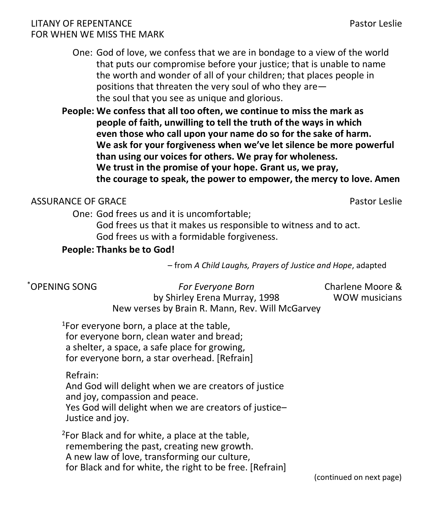#### LITANY OF REPENTANCE Pastor Leslie FOR WHEN WE MISS THE MARK

- One: God of love, we confess that we are in bondage to a view of the world that puts our compromise before your justice; that is unable to name the worth and wonder of all of your children; that places people in positions that threaten the very soul of who they are the soul that you see as unique and glorious.
- **People: We confess that all too often, we continue to miss the mark as people of faith, unwilling to tell the truth of the ways in which even those who call upon your name do so for the sake of harm. We ask for your forgiveness when we've let silence be more powerful than using our voices for others. We pray for wholeness. We trust in the promise of your hope. Grant us, we pray, the courage to speak, the power to empower, the mercy to love. Amen**

### ASSURANCE OF GRACE **Pastor Leslie** Pastor Leslie

One: God frees us and it is uncomfortable;

God frees us that it makes us responsible to witness and to act. God frees us with a formidable forgiveness.

#### **People: Thanks be to God!**

– from *A Child Laughs, Prayers of Justice and Hope*, adapted

| *OPENING SONG | <b>For Everyone Born</b>                        | Charlene Moore & |
|---------------|-------------------------------------------------|------------------|
|               | by Shirley Erena Murray, 1998                   | WOW musicians    |
|               | New verses by Brain R. Mann, Rev. Will McGarvey |                  |

<sup>1</sup>For everyone born, a place at the table, for everyone born, clean water and bread; a shelter, a space, a safe place for growing, for everyone born, a star overhead. [Refrain]

Refrain:

And God will delight when we are creators of justice and joy, compassion and peace. Yes God will delight when we are creators of justice– Justice and joy.

 $2$ For Black and for white, a place at the table, remembering the past, creating new growth. A new law of love, transforming our culture, for Black and for white, the right to be free. [Refrain]

(continued on next page)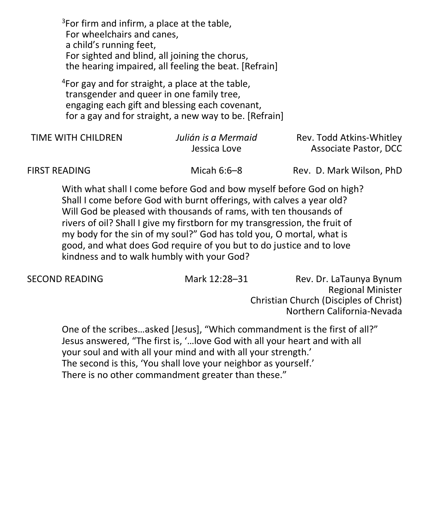$3$ For firm and infirm, a place at the table, For wheelchairs and canes, a child's running feet, For sighted and blind, all joining the chorus, the hearing impaired, all feeling the beat. [Refrain]

 $4$ For gay and for straight, a place at the table, transgender and queer in one family tree, engaging each gift and blessing each covenant, for a gay and for straight, a new way to be. [Refrain]

| TIME WITH CHILDREN | Julián is a Mermaid<br>Jessica Love | Rev. Todd Atkins-Whitley<br>Associate Pastor, DCC |
|--------------------|-------------------------------------|---------------------------------------------------|
| FIRST READING      | Micah $6:6-8$                       | Rev. D. Mark Wilson, PhD                          |

With what shall I come before God and bow myself before God on high? Shall I come before God with burnt offerings, with calves a year old? Will God be pleased with thousands of rams, with ten thousands of rivers of oil? Shall I give my firstborn for my transgression, the fruit of my body for the sin of my soul?" God has told you, O mortal, what is good, and what does God require of you but to do justice and to love kindness and to walk humbly with your God?

SECOND READING Mark 12:28-31 Rev. Dr. LaTaunya Bynum Regional Minister Christian Church (Disciples of Christ) Northern California-Nevada

One of the scribes…asked [Jesus], "Which commandment is the first of all?" Jesus answered, "The first is, '…love God with all your heart and with all your soul and with all your mind and with all your strength.' The second is this, 'You shall love your neighbor as yourself.' There is no other commandment greater than these."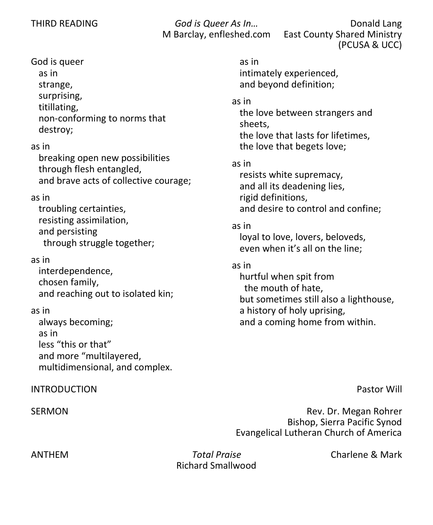THIRD READING *God is Queer As In…* Donald Lang M Barclay, enfleshed.com East County Shared Ministry (PCUSA & UCC)

### God is queer

as in strange, surprising, titillating, non-conforming to norms that destroy;

#### as in

breaking open new possibilities through flesh entangled, and brave acts of collective courage;

#### as in

troubling certainties, resisting assimilation, and persisting through struggle together;

#### as in

interdependence, chosen family, and reaching out to isolated kin;

#### as in

always becoming; as in less "this or that" and more "multilayered, multidimensional, and complex.

#### INTRODUCTION Pastor Will

as in intimately experienced, and beyond definition;

#### as in

the love between strangers and sheets, the love that lasts for lifetimes, the love that begets love;

#### as in

resists white supremacy, and all its deadening lies, rigid definitions, and desire to control and confine;

#### as in

loyal to love, lovers, beloveds, even when it's all on the line;

#### as in

hurtful when spit from the mouth of hate, but sometimes still also a lighthouse, a history of holy uprising, and a coming home from within.

SERMON Rev. Dr. Megan Rohrer Bishop, Sierra Pacific Synod Evangelical Lutheran Church of America

ANTHEM *Total Praise* Charlene & Mark Richard Smallwood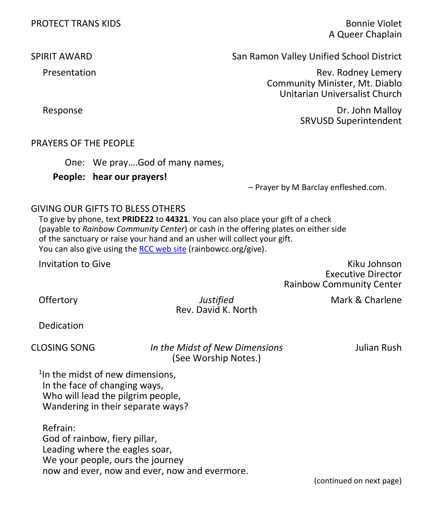A Queer Chaplain

SPIRIT AWARD San Ramon Valley Unified School District

Presentation **Rev. Rooms** Rev. Rodney Lemery Community Minister, Mt. Diablo Unitarian Universalist Church

 Response Dr. John Malloy SRVUSD Superintendent

#### PRAYERS OF THE PEOPLE

One: We pray….God of many names,

**People: hear our prayers!**

– Prayer by M Barclay enfleshed.com.

#### GIVING OUR GIFTS TO BLESS OTHERS

To give by phone, text **PRIDE22** to **44321**. You can also place your gift of a check (payable to *Rainbow Community Center*) or cash in the offering plates on either side of the sanctuary or raise your hand and an usher will collect your gift. You can also give using the [RCC web site](https://www.rainbowcc.org/give) (rainbowcc.org/give).

**Invitation to Give Kiku Johnson** Kiku Johnson Kiku Johnson Kiku Johnson Kiku Johnson Kiku Johnson Kiku Johnson Kiku Johnson Kiku Johnson Kiku Johnson Kiku Johnson Kiku Johnson Kiku Johnson Kiku Johnson Kiku Johnson Kiku J Executive Director Rainbow Community Center

**Offertory** *Justified* Mark & Charlene Rev. David K. North

Dedication

CLOSING SONG *In the Midst of New Dimensions* Julian Rush (See Worship Notes.)

<sup>1</sup>In the midst of new dimensions, In the face of changing ways, Who will lead the pilgrim people, Wandering in their separate ways?

Refrain: God of rainbow, fiery pillar, Leading where the eagles soar, We your people, ours the journey now and ever, now and ever, now and evermore.

(continued on next page)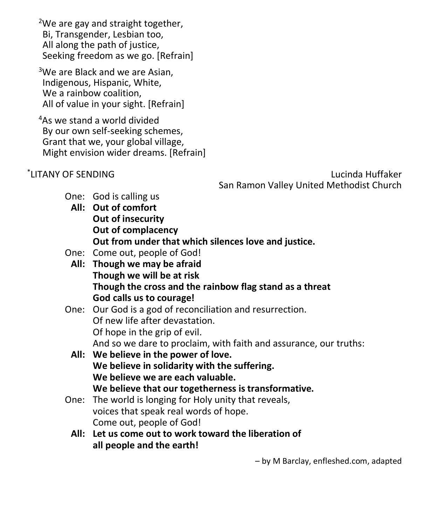<sup>2</sup>We are gay and straight together, Bi, Transgender, Lesbian too, All along the path of justice, Seeking freedom as we go. [Refrain]

<sup>3</sup>We are Black and we are Asian, Indigenous, Hispanic, White, We a rainbow coalition, All of value in your sight. [Refrain]

<sup>4</sup>As we stand a world divided By our own self-seeking schemes, Grant that we, your global village, Might envision wider dreams. [Refrain]

\* LITANY OF SENDING Lucinda Huffaker San Ramon Valley United Methodist Church

- One: God is calling us
	- **All: Out of comfort Out of insecurity Out of complacency Out from under that which silences love and justice.**
- One: Come out, people of God!
- **All: Though we may be afraid Though we will be at risk Though the cross and the rainbow flag stand as a threat God calls us to courage!**

#### One: Our God is a god of reconciliation and resurrection. Of new life after devastation. Of hope in the grip of evil. And so we dare to proclaim, with faith and assurance, our truths:

- **All: We believe in the power of love. We believe in solidarity with the suffering. We believe we are each valuable. We believe that our togetherness is transformative.**
- One: The world is longing for Holy unity that reveals, voices that speak real words of hope. Come out, people of God!
	- **All: Let us come out to work toward the liberation of all people and the earth!**

– by M Barclay, enfleshed.com, adapted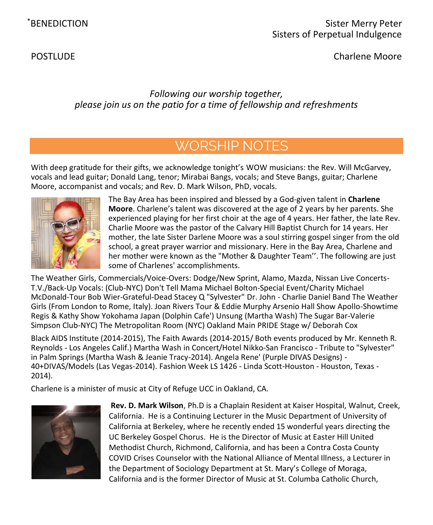POSTLUDE **Charlene Moore** 

### *Following our worship together, please join us on the patio for a time of fellowship and refreshments*

## WORSHIP NOTES

With deep gratitude for their gifts, we acknowledge tonight's WOW musicians: the Rev. Will McGarvey, vocals and lead guitar; Donald Lang, tenor; Mirabai Bangs, vocals; and Steve Bangs, guitar; Charlene Moore, accompanist and vocals; and Rev. D. Mark Wilson, PhD, vocals.



The Bay Area has been inspired and blessed by a God-given talent in **Charlene Moore**. Charlene's talent was discovered at the age of 2 years by her parents. She experienced playing for her first choir at the age of 4 years. Her father, the late Rev. Charlie Moore was the pastor of the Calvary Hill Baptist Church for 14 years. Her mother, the late Sister Darlene Moore was a soul stirring gospel singer from the old school, a great prayer warrior and missionary. Here in the Bay Area, Charlene and her mother were known as the "Mother & Daughter Team''. The following are just some of Charlenes' accomplishments.

The Weather Girls, Commercials/Voice-Overs: Dodge/New Sprint, Alamo, Mazda, Nissan Live Concerts-T.V./Back-Up Vocals: (Club-NYC) Don't Tell Mama Michael Bolton-Special Event/Charity Michael McDonald-Tour Bob Wier-Grateful-Dead Stacey Q "Sylvester" Dr. John - Charlie Daniel Band The Weather Girls (From London to Rome, Italy). Joan Rivers Tour & Eddie Murphy Arsenio Hall Show Apollo-Showtime Regis & Kathy Show Yokohama Japan (Dolphin Cafe') Unsung (Martha Wash) The Sugar Bar-Valerie Simpson Club-NYC) The Metropolitan Room (NYC) Oakland Main PRIDE Stage w/ Deborah Cox

Black AIDS Institute (2014-2015), The Faith Awards (2014-2015/ Both events produced by Mr. Kenneth R. Reynolds - Los Angeles Calif.) Martha Wash in Concert/Hotel Nikko-San Francisco - Tribute to "Sylvester" in Palm Springs (Martha Wash & Jeanie Tracy-2014). Angela Rene' (Purple DIVAS Designs) - 40+DIVAS/Models (Las Vegas-2014). Fashion Week LS 1426 - Linda Scott-Houston - Houston, Texas - 2014).

Charlene is a minister of music at City of Refuge UCC in Oakland, CA.



**Rev. D. Mark Wilson**, Ph.D is a Chaplain Resident at Kaiser Hospital, Walnut, Creek, California. He is a Continuing Lecturer in the Music Department of University of California at Berkeley, where he recently ended 15 wonderful years directing the UC Berkeley Gospel Chorus. He is the Director of Music at Easter Hill United Methodist Church, Richmond, California, and has been a Contra Costa County COVID Crises Counselor with the National Alliance of Mental Illness, a Lecturer in the Department of Sociology Department at St. Mary's College of Moraga, California and is the former Director of Music at St. Columba Catholic Church,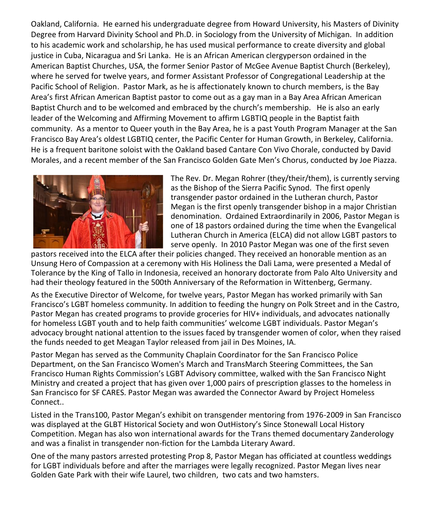Oakland, California. He earned his undergraduate degree from Howard University, his Masters of Divinity Degree from Harvard Divinity School and Ph.D. in Sociology from the University of Michigan. In addition to his academic work and scholarship, he has used musical performance to create diversity and global justice in Cuba, Nicaragua and Sri Lanka. He is an African American clergyperson ordained in the American Baptist Churches, USA, the former Senior Pastor of McGee Avenue Baptist Church (Berkeley), where he served for twelve years, and former Assistant Professor of Congregational Leadership at the Pacific School of Religion. Pastor Mark, as he is affectionately known to church members, is the Bay Area's first African American Baptist pastor to come out as a gay man in a Bay Area African American Baptist Church and to be welcomed and embraced by the church's membership. He is also an early leader of the Welcoming and Affirming Movement to affirm LGBTIQ people in the Baptist faith community. As a mentor to Queer youth in the Bay Area, he is a past Youth Program Manager at the San Francisco Bay Area's oldest LGBTIQ center, the Pacific Center for Human Growth, in Berkeley, California. He is a frequent baritone soloist with the Oakland based Cantare Con Vivo Chorale, conducted by David Morales, and a recent member of the San Francisco Golden Gate Men's Chorus, conducted by Joe Piazza.



The Rev. Dr. Megan Rohrer (they/their/them), is currently serving as the Bishop of the Sierra Pacific Synod. The first openly transgender pastor ordained in the Lutheran church, Pastor Megan is the first openly transgender bishop in a major Christian denomination. Ordained Extraordinarily in 2006, Pastor Megan is one of 18 pastors ordained during the time when the Evangelical Lutheran Church in America (ELCA) did not allow LGBT pastors to serve openly. In 2010 Pastor Megan was one of the first seven

pastors received into the ELCA after their policies changed. They received an honorable mention as an Unsung Hero of Compassion at a ceremony with His Holiness the Dali Lama, were presented a Medal of Tolerance by the King of Tallo in Indonesia, received an honorary doctorate from Palo Alto University and had their theology featured in the 500th Anniversary of the Reformation in Wittenberg, Germany.

As the Executive Director of Welcome, for twelve years, Pastor Megan has worked primarily with San Francisco's LGBT homeless community. In addition to feeding the hungry on Polk Street and in the Castro, Pastor Megan has created programs to provide groceries for HIV+ individuals, and advocates nationally for homeless LGBT youth and to help faith communities' welcome LGBT individuals. Pastor Megan's advocacy brought national attention to the issues faced by transgender women of color, when they raised the funds needed to get Meagan Taylor released from jail in Des Moines, IA.

Pastor Megan has served as the Community Chaplain Coordinator for the San Francisco Police Department, on the San Francisco Women's March and TransMarch Steering Committees, the San Francisco Human Rights Commission's LGBT Advisory committee, walked with the San Francisco Night Ministry and created a project that has given over 1,000 pairs of prescription glasses to the homeless in San Francisco for SF CARES. Pastor Megan was awarded the Connector Award by Project Homeless Connect..

Listed in the Trans100, Pastor Megan's exhibit on transgender mentoring from 1976-2009 in San Francisco was displayed at the GLBT Historical Society and won OutHistory's Since Stonewall Local History Competition. Megan has also won international awards for the Trans themed documentary Zanderology and was a finalist in transgender non-fiction for the Lambda Literary Award.

One of the many pastors arrested protesting Prop 8, Pastor Megan has officiated at countless weddings for LGBT individuals before and after the marriages were legally recognized. Pastor Megan lives near Golden Gate Park with their wife Laurel, two children, two cats and two hamsters.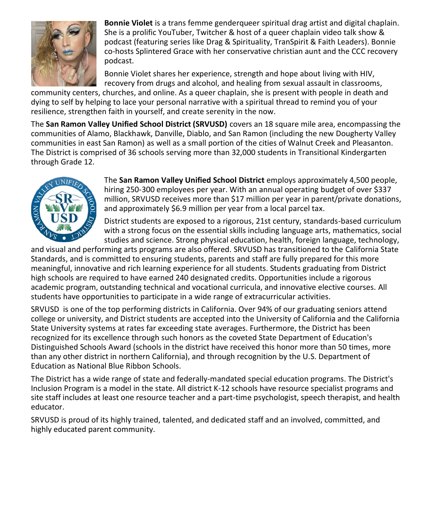

**Bonnie Violet** is a trans femme genderqueer spiritual drag artist and digital chaplain. She is a prolific YouTuber, Twitcher & host of a queer chaplain video talk show & podcast (featuring series like Drag & Spirituality, TranSpirit & Faith Leaders). Bonnie co-hosts Splintered Grace with her conservative christian aunt and the CCC recovery podcast.

Bonnie Violet shares her experience, strength and hope about living with HIV, recovery from drugs and alcohol, and healing from sexual assault in classrooms,

community centers, churches, and online. As a queer chaplain, she is present with people in death and dying to self by helping to lace your personal narrative with a spiritual thread to remind you of your resilience, strengthen faith in yourself, and create serenity in the now.

The **San Ramon Valley Unified School District (SRVUSD)** covers an 18 square mile area, encompassing the communities of Alamo, Blackhawk, Danville, Diablo, and San Ramon (including the new Dougherty Valley communities in east San Ramon) as well as a small portion of the cities of Walnut Creek and Pleasanton. The District is comprised of 36 schools serving more than 32,000 students in Transitional Kindergarten through Grade 12.



The **San Ramon Valley Unified School District** employs approximately 4,500 people, hiring 250-300 employees per year. With an annual operating budget of over \$337 million, SRVUSD receives more than \$17 million per year in parent/private donations, and approximately \$6.9 million per year from a local parcel tax.

District students are exposed to a rigorous, 21st century, standards-based curriculum with a strong focus on the essential skills including language arts, mathematics, social studies and science. Strong physical education, health, foreign language, technology,

and visual and performing arts programs are also offered. SRVUSD has transitioned to the California State Standards, and is committed to ensuring students, parents and staff are fully prepared for this more meaningful, innovative and rich learning experience for all students. Students graduating from District high schools are required to have earned 240 designated credits. Opportunities include a rigorous academic program, outstanding technical and vocational curricula, and innovative elective courses. All students have opportunities to participate in a wide range of extracurricular activities.

SRVUSD is one of the top performing districts in California. Over 94% of our graduating seniors attend college or university, and District students are accepted into the University of California and the California State University systems at rates far exceeding state averages. Furthermore, the District has been recognized for its excellence through such honors as the coveted State Department of Education's Distinguished Schools Award (schools in the district have received this honor more than 50 times, more than any other district in northern California), and through recognition by the U.S. Department of Education as National Blue Ribbon Schools.

The District has a wide range of state and federally-mandated special education programs. The District's Inclusion Program is a model in the state. All district K-12 schools have resource specialist programs and site staff includes at least one resource teacher and a part-time psychologist, speech therapist, and health educator.

SRVUSD is proud of its highly trained, talented, and dedicated staff and an involved, committed, and highly educated parent community.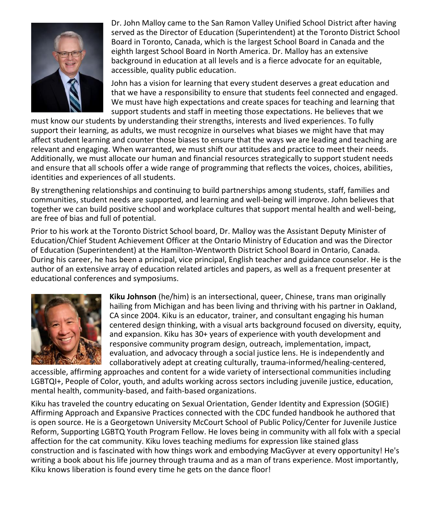

Dr. John Malloy came to the San Ramon Valley Unified School District after having served as the Director of Education (Superintendent) at the Toronto District School Board in Toronto, Canada, which is the largest School Board in Canada and the eighth largest School Board in North America. Dr. Malloy has an extensive background in education at all levels and is a fierce advocate for an equitable, accessible, quality public education.

John has a vision for learning that every student deserves a great education and that we have a responsibility to ensure that students feel connected and engaged. We must have high expectations and create spaces for teaching and learning that support students and staff in meeting those expectations. He believes that we

must know our students by understanding their strengths, interests and lived experiences. To fully support their learning, as adults, we must recognize in ourselves what biases we might have that may affect student learning and counter those biases to ensure that the ways we are leading and teaching are relevant and engaging. When warranted, we must shift our attitudes and practice to meet their needs. Additionally, we must allocate our human and financial resources strategically to support student needs and ensure that all schools offer a wide range of programming that reflects the voices, choices, abilities, identities and experiences of all students.

By strengthening relationships and continuing to build partnerships among students, staff, families and communities, student needs are supported, and learning and well-being will improve. John believes that together we can build positive school and workplace cultures that support mental health and well-being, are free of bias and full of potential.

Prior to his work at the Toronto District School board, Dr. Malloy was the Assistant Deputy Minister of Education/Chief Student Achievement Officer at the Ontario Ministry of Education and was the Director of Education (Superintendent) at the Hamilton-Wentworth District School Board in Ontario, Canada. During his career, he has been a principal, vice principal, English teacher and guidance counselor. He is the author of an extensive array of education related articles and papers, as well as a frequent presenter at educational conferences and symposiums.



**Kiku Johnson** (he/him) is an intersectional, queer, Chinese, trans man originally hailing from Michigan and has been living and thriving with his partner in Oakland, CA since 2004. Kiku is an educator, trainer, and consultant engaging his human centered design thinking, with a visual arts background focused on diversity, equity, and expansion. Kiku has 30+ years of experience with youth development and responsive community program design, outreach, implementation, impact, evaluation, and advocacy through a social justice lens. He is independently and collaboratively adept at creating culturally, trauma-informed/healing-centered,

accessible, affirming approaches and content for a wide variety of intersectional communities including LGBTQI+, People of Color, youth, and adults working across sectors including juvenile justice, education, mental health, community-based, and faith-based organizations.

Kiku has traveled the country educating on Sexual Orientation, Gender Identity and Expression (SOGIE) Affirming Approach and Expansive Practices connected with the CDC funded handbook he authored that is open source. He is a Georgetown University McCourt School of Public Policy/Center for Juvenile Justice Reform, Supporting LGBTQ Youth Program Fellow. He loves being in community with all folx with a special affection for the cat community. Kiku loves teaching mediums for expression like stained glass construction and is fascinated with how things work and embodying MacGyver at every opportunity! He's writing a book about his life journey through trauma and as a man of trans experience. Most importantly, Kiku knows liberation is found every time he gets on the dance floor!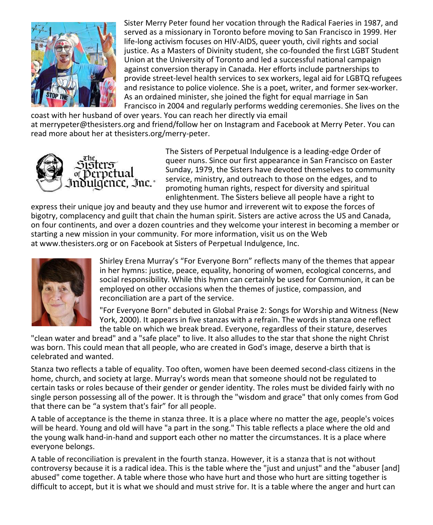

Sister Merry Peter found her vocation through the Radical Faeries in 1987, and served as a missionary in Toronto before moving to San Francisco in 1999. Her life-long activism focuses on HIV-AIDS, queer youth, civil rights and social justice. As a Masters of Divinity student, she co-founded the first LGBT Student Union at the University of Toronto and led a successful national campaign against conversion therapy in Canada. Her efforts include partnerships to provide street-level health services to sex workers, legal aid for LGBTQ refugees and resistance to police violence. She is a poet, writer, and former sex-worker. As an ordained minister, she joined the fight for equal marriage in San Francisco in 2004 and regularly performs wedding ceremonies. She lives on the

coast with her husband of over years. You can reach her directly via email at [merrypeter@thesisters.org](mailto:merrypeter@thesisters.org) and friend/follow her on Instagram and Facebook at Merry Peter. You can read more about her at thesisters.org/merry-peter.



The Sisters of Perpetual Indulgence is a leading-edge Order of queer nuns. Since our first appearance in San Francisco on Easter Sunday, 1979, the Sisters have devoted themselves to community service, ministry, and outreach to those on the edges, and to promoting human rights, respect for diversity and spiritual enlightenment. The Sisters believe all people have a right to

express their unique joy and beauty and they use humor and irreverent wit to expose the forces of bigotry, complacency and guilt that chain the human spirit. Sisters are active across the US and Canada, on four continents, and over a dozen countries and they welcome your interest in becoming a member or starting a new mission in your community. For more information, visit us on the Web at [www.thesisters.org](http://www.thesisters.org/) or on Facebook at Sisters of Perpetual Indulgence, Inc.



Shirley Erena Murray's "For Everyone Born" reflects many of the themes that appear in her hymns: justice, peace, equality, honoring of women, ecological concerns, and social responsibility. While this hymn can certainly be used for Communion, it can be employed on other occasions when the themes of justice, compassion, and reconciliation are a part of the service.

"For Everyone Born" debuted in Global Praise 2: Songs for Worship and Witness (New York, 2000). It appears in five stanzas with a refrain. The words in stanza one reflect the table on which we break bread. Everyone, regardless of their stature, deserves

"clean water and bread" and a "safe place" to live. It also alludes to the star that shone the night Christ was born. This could mean that all people, who are created in God's image, deserve a birth that is celebrated and wanted.

Stanza two reflects a table of equality. Too often, women have been deemed second-class citizens in the home, church, and society at large. Murray's words mean that someone should not be regulated to certain tasks or roles because of their gender or gender identity. The roles must be divided fairly with no single person possessing all of the power. It is through the "wisdom and grace" that only comes from God that there can be "a system that's fair" for all people.

A table of acceptance is the theme in stanza three. It is a place where no matter the age, people's voices will be heard. Young and old will have "a part in the song." This table reflects a place where the old and the young walk hand-in-hand and support each other no matter the circumstances. It is a place where everyone belongs.

A table of reconciliation is prevalent in the fourth stanza. However, it is a stanza that is not without controversy because it is a radical idea. This is the table where the "just and unjust" and the "abuser [and] abused" come together. A table where those who have hurt and those who hurt are sitting together is difficult to accept, but it is what we should and must strive for. It is a table where the anger and hurt can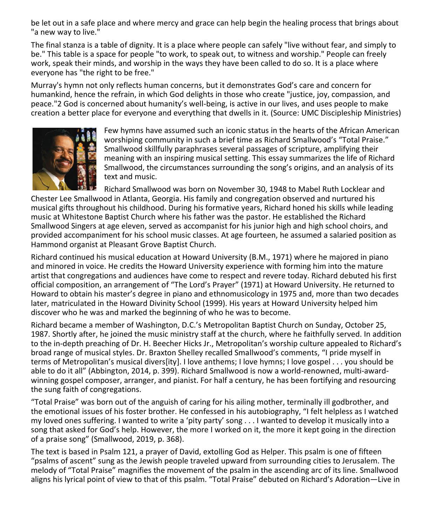be let out in a safe place and where mercy and grace can help begin the healing process that brings about "a new way to live."

The final stanza is a table of dignity. It is a place where people can safely "live without fear, and simply to be." This table is a space for people "to work, to speak out, to witness and worship." People can freely work, speak their minds, and worship in the ways they have been called to do so. It is a place where everyone has "the right to be free."

Murray's hymn not only reflects human concerns, but it demonstrates God's care and concern for humankind, hence the refrain, in which God delights in those who create "justice, joy, compassion, and peace.["2](https://www.umcdiscipleship.org/resources/history-of-hymns-for-everyone-born-by-shirley-erena-murray#_ftn2) God is concerned about humanity's well-being, is active in our lives, and uses people to make creation a better place for everyone and everything that dwells in it. (Source: UMC Discipleship Ministries)



Few hymns have assumed such an iconic status in the hearts of the African American worshiping community in such a brief time as Richard Smallwood's "Total Praise." Smallwood skillfully paraphrases several passages of scripture, amplifying their meaning with an inspiring musical setting. This essay summarizes the life of Richard Smallwood, the circumstances surrounding the song's origins, and an analysis of its text and music.

Richard Smallwood was born on November 30, 1948 to Mabel Ruth Locklear and Chester Lee Smallwood in Atlanta, Georgia. His family and congregation observed and nurtured his musical gifts throughout his childhood. During his formative years, Richard honed his skills while leading music at Whitestone Baptist Church where his father was the pastor. He established the Richard Smallwood Singers at age eleven, served as accompanist for his junior high and high school choirs, and provided accompaniment for his school music classes. At age fourteen, he assumed a salaried position as Hammond organist at Pleasant Grove Baptist Church.

Richard continued his musical education at Howard University (B.M., 1971) where he majored in piano and minored in voice. He credits the Howard University experience with forming him into the mature artist that congregations and audiences have come to respect and revere today. Richard debuted his first official composition, an arrangement of "The Lord's Prayer" (1971) at Howard University. He returned to Howard to obtain his master's degree in piano and ethnomusicology in 1975 and, more than two decades later, matriculated in the Howard Divinity School (1999). His years at Howard University helped him discover who he was and marked the beginning of who he was to become.

Richard became a member of Washington, D.C.'s Metropolitan Baptist Church on Sunday, October 25, 1987. Shortly after, he joined the music ministry staff at the church, where he faithfully served. In addition to the in-depth preaching of Dr. H. Beecher Hicks Jr., Metropolitan's worship culture appealed to Richard's broad range of musical styles. Dr. Braxton Shelley recalled Smallwood's comments, "I pride myself in terms of Metropolitan's musical divers[ity]. I love anthems; I love hymns; I love gospel . . . you should be able to do it all" (Abbington, 2014, p. 399). Richard Smallwood is now a world-renowned, multi-awardwinning gospel composer, arranger, and pianist. For half a century, he has been fortifying and resourcing the sung faith of congregations.

"Total Praise" was born out of the anguish of caring for his ailing mother, terminally ill godbrother, and the emotional issues of his foster brother. He confessed in his autobiography, "I felt helpless as I watched my loved ones suffering. I wanted to write a 'pity party' song . . . I wanted to develop it musically into a song that asked for God's help. However, the more I worked on it, the more it kept going in the direction of a praise song" (Smallwood, 2019, p. 368).

The text is based in Psalm 121, a prayer of David, extolling God as Helper. This psalm is one of fifteen "psalms of ascent" sung as the Jewish people traveled upward from surrounding cities to Jerusalem. The melody of "Total Praise" magnifies the movement of the psalm in the ascending arc of its line. Smallwood aligns his lyrical point of view to that of this psalm. "Total Praise" debuted on Richard's Adoration—Live in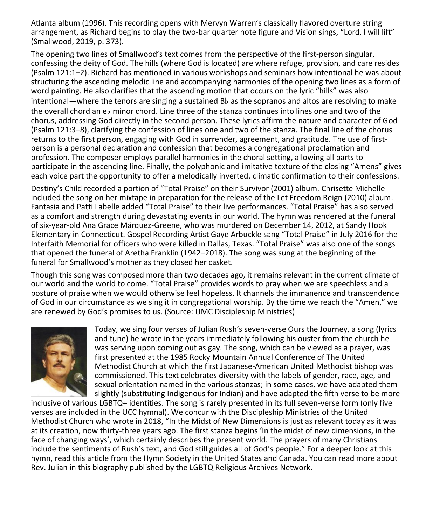Atlanta album (1996). This recording opens with Mervyn Warren's classically flavored overture string arrangement, as Richard begins to play the two-bar quarter note figure and Vision sings, "Lord, I will lift" (Smallwood, 2019, p. 373).

The opening two lines of Smallwood's text comes from the perspective of the first-person singular, confessing the deity of God. The hills (where God is located) are where refuge, provision, and care resides (Psalm 121:1–2). Richard has mentioned in various workshops and seminars how intentional he was about structuring the ascending melodic line and accompanying harmonies of the opening two lines as a form of word painting. He also clarifies that the ascending motion that occurs on the lyric "hills" was also intentional—where the tenors are singing a sustained B♭ as the sopranos and altos are resolving to make the overall chord an e♭ minor chord. Line three of the stanza continues into lines one and two of the chorus, addressing God directly in the second person. These lyrics affirm the nature and character of God (Psalm 121:3–8), clarifying the confession of lines one and two of the stanza. The final line of the chorus returns to the first person, engaging with God in surrender, agreement, and gratitude. The use of firstperson is a personal declaration and confession that becomes a congregational proclamation and profession. The composer employs parallel harmonies in the choral setting, allowing all parts to participate in the ascending line. Finally, the polyphonic and imitative texture of the closing "Amens" gives each voice part the opportunity to offer a melodically inverted, climatic confirmation to their confessions.

Destiny's Child recorded a portion of "Total Praise" on their Survivor (2001) album. Chrisette Michelle included the song on her mixtape in preparation for the release of the Let Freedom Reign (2010) album. Fantasia and Patti Labelle added "Total Praise" to their live performances. "Total Praise" has also served as a comfort and strength during devastating events in our world. The hymn was rendered at the funeral of six-year-old Ana Grace Márquez-Greene, who was murdered on December 14, 2012, at Sandy Hook Elementary in Connecticut. Gospel Recording Artist Gaye Arbuckle sang "Total Praise" in July 2016 for the Interfaith Memorial for officers who were killed in Dallas, Texas. "Total Praise" was also one of the songs that opened the funeral of Aretha Franklin (1942–2018). The song was sung at the beginning of the funeral for Smallwood's mother as they closed her casket.

Though this song was composed more than two decades ago, it remains relevant in the current climate of our world and the world to come. "Total Praise" provides words to pray when we are speechless and a posture of praise when we would otherwise feel hopeless. It channels the immanence and transcendence of God in our circumstance as we sing it in congregational worship. By the time we reach the "Amen," we are renewed by God's promises to us. (Source: UMC Discipleship Ministries)



Today, we sing four verses of Julian Rush's seven-verse Ours the Journey, a song (lyrics and tune) he wrote in the years immediately following his ouster from the church he was serving upon coming out as gay. The song, which can be viewed as a prayer, was first presented at the 1985 Rocky Mountain Annual Conference of The United Methodist Church at which the first Japanese-American United Methodist bishop was commissioned. This text celebrates diversity with the labels of gender, race, age, and sexual orientation named in the various stanzas; in some cases, we have adapted them slightly (substituting Indigenous for Indian) and have adapted the fifth verse to be more

inclusive of various LGBTQ+ identities. The song is rarely presented in its full seven-verse form (only five verses are included in the UCC hymnal). We concur with the Discipleship Ministries of the United Methodist Church who [wrote in 2018](https://www.umcdiscipleship.org/resources/history-of-hymns-in-the-midst-of-new-dimensions), "In the Midst of New Dimensions is just as relevant today as it was at its creation, now thirty-three years ago. The first stanza begins 'In the midst of new dimensions, in the face of changing ways', which certainly describes the present world. The prayers of many Christians include the sentiments of Rush's text, and God still guides all of God's people." For a deeper look at this hymn, [read this article from the Hymn Society in the United States and Canada.](https://docs.google.com/document/d/1UhhNmAIpNHCHfQy3gRWXWwcCI2-63jhQnAwDSQsRWxY/edit?usp=sharing) You can read more about Rev. Julian in [this biography published by the LGBTQ Religious Archives Network.](https://lgbtqreligiousarchives.org/profiles/julian-rush)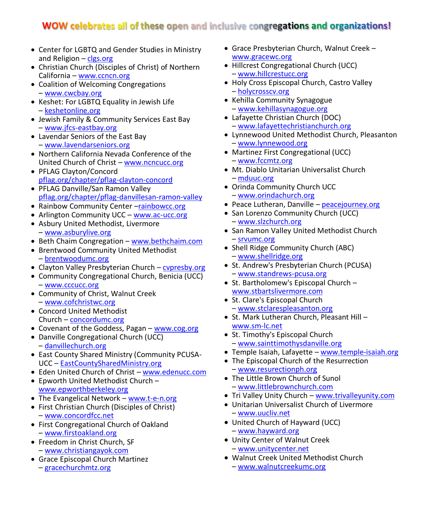### WOW celebrates all of these open and inclusive congregations and organizations!

- Center for LGBTQ and Gender Studies in Ministry and Religion – [clgs.org](http://clgs.org/)
- Christian Church (Disciples of Christ) of Northern California – [www.ccncn.org](http://www.ccncn.org/)
- Coalition of Welcoming Congregations – [www.cwcbay.org](http://www.cwcbay.org/)
- Keshet: For LGBTQ Equality in Jewish Life – [keshetonline.org](https://www.keshetonline.org/)
- Jewish Family & Community Services East Bay – [www.jfcs-eastbay.org](http://www.jfcs-eastbay.org/)
- Lavendar Seniors of the East Bay – [www.lavendarseniors.org](http://www.lavendarseniors.org/)
- Northern California Nevada Conference of the United Church of Christ – [www.ncncucc.org](http://www.ncncucc.org/)
- PFLAG Clayton/Concord [pflag.org/chapter/pflag-clayton-concord](https://pflag.org/chapter/pflag-clayton-concord)
- PFLAG Danville/San Ramon Valley [pflag.org/chapter/pflag-danvillesan-ramon-valley](https://pflag.org/chapter/pflag-danvillesan-ramon-valley)
- Rainbow Community Center -[rainbowcc.org](http://rainbowcc.org/)
- Arlington Community UCC [www.ac-ucc.org](http://www.ac-ucc.org/)
- Asbury United Methodist, Livermore – [www.asburylive.org](https://www.asburylive.org/)
- Beth Chaim Congregation [www.bethchaim.com](http://www.bethchaim.com/)
- Brentwood Community United Methodist – [brentwoodumc.org](https://www.brentwoodumc.org/bcumc/home)
- Clayton Valley Presbyterian Church cypresby.org
- Community Congregational Church, Benicia (UCC) – [www.cccucc.org](http://www.cccucc.org/)
- Community of Christ, Walnut Creek – [www.cofchristwc.org](https://www.cofchristwc.org/)
- Concord United Methodist Church – [concordumc.org](http://concordumc.org/)
- Covenant of the Goddess, Pagan [www.cog.org](http://www.cog.org/)
- Danville Congregational Church (UCC) – [danvillechurch.org](http://danvillechurch.org/)
- East County Shared Ministry (Community PCUSA-UCC – [EastCountySharedMinistry.org](http://cpcpittsburg.org/)
- Eden United Church of Christ [www.edenucc.com](http://www.edenucc.com/)
- Epworth United Methodist Church [www.epworthberkeley.org](http://www.epworthberkeley.org/)
- The Evangelical Network [www.t-e-n.org](http://www.t-e-n.org/)
- First Christian Church (Disciples of Christ) – [www.concordfcc.net](http://www.concordfcc.net/)
- First Congregational Church of Oakland – [www.firstoakland.org](http://www.firstoakland.org/)
- Freedom in Christ Church, SF – [www.christiangayok.com](http://www.christiangayok.com/)
- Grace Episcopal Church Martinez – [gracechurchmtz.org](http://gracechurchmtz.org/)
- Grace Presbyterian Church, Walnut Creek [www.gracewc.org](http://www.gracewc.org/)
- Hillcrest Congregational Church (UCC) – [www.hillcrestucc.org](http://www.hillcrestucc.org/)
- Holy Cross Episcopal Church, Castro Valley – [holycrosscv.org](http://holycrosscv.org/)
- Kehilla Community Synagogue – [www.kehillasynagogue.org](http://www.kehillasynagogue.org/)
- Lafayette Christian Church (DOC) – [www.lafayettechristianchurch.org](http://www.lafayettechristianchurch.org/)
- Lynnewood United Methodist Church, Pleasanton – [www.lynnewood.org](http://www.lynnewood.org/)
- Martinez First Congregational (UCC) – [www.fccmtz.org](http://www.fccmtz.org/)
- Mt. Diablo Unitarian Universalist Church – [mduuc.org](http://mduuc.org/)
- Orinda Community Church UCC – [www.orindachurch.org](http://www.orindachurch.org/)
- Peace Lutheran, Danville [peacejourney.org](http://peacejourney.org/)
- San Lorenzo Community Church (UCC)
	- [www.slzchurch.org](http://www.slzchurch.org/)
- San Ramon Valley United Methodist Church – [srvumc.org](http://srvumc.org/)
- Shell Ridge Community Church (ABC) – [www.shellridge.org](http://www.shellridge.org/)
- St. Andrew's Presbyterian Church (PCUSA) – [www.standrews-pcusa.org](http://www.standrews-pcusa.org/)
- St. Bartholomew's Episcopal Church [www.stbartslivermore.com](http://www.stbartslivermore.com/)
- St. Clare's Episcopal Church – [www.stclarespleasanton.org](http://www.stclarespleasanton.org/)
- St. Mark Lutheran Church, Pleasant Hill [www.sm-lc.net](http://www.sm-lc.net/)
- St. Timothy's Episcopal Church – [www.sainttimothysdanville.org](http://www.sainttimothysdanville.org/)
- Temple Isaiah, Lafayette [www.temple-isaiah.org](http://www.temple-isaiah.org/)
- The Episcopal Church of the Resurrection – [www.resurectionph.org](http://www.resurectionph.org/)
- The Little Brown Church of Sunol – [www.littlebrownchurch.com](http://www.littlebrownchurch.com/)
- Tri Valley Unity Church [www.trivalleyunity.com](http://www.trivalleyunity.com/)
- Unitarian Universalist Church of Livermore – [www.uucliv.net](http://www.uucliv.net/)
- United Church of Hayward (UCC) – [www.hayward.org](http://www.hayward.org/)
- Unity Center of Walnut Creek – [www.unitycenter.net](http://www.unitycenter.net/)
- Walnut Creek United Methodist Church – [www.walnutcreekumc.org](http://www.walnutcreekumc.org/)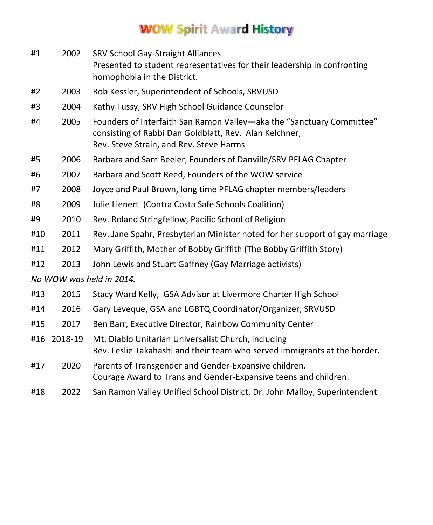## **WOW Spirit Award History**

| #1                       | 2002    | <b>SRV School Gay-Straight Alliances</b><br>Presented to student representatives for their leadership in confronting<br>homophobia in the District.                        |  |  |
|--------------------------|---------|----------------------------------------------------------------------------------------------------------------------------------------------------------------------------|--|--|
| #2                       | 2003    | Rob Kessler, Superintendent of Schools, SRVUSD                                                                                                                             |  |  |
| #3                       | 2004    | Kathy Tussy, SRV High School Guidance Counselor                                                                                                                            |  |  |
| #4                       | 2005    | Founders of Interfaith San Ramon Valley-aka the "Sanctuary Committee"<br>consisting of Rabbi Dan Goldblatt, Rev. Alan Kelchner,<br>Rev. Steve Strain, and Rev. Steve Harms |  |  |
| #5                       | 2006    | Barbara and Sam Beeler, Founders of Danville/SRV PFLAG Chapter                                                                                                             |  |  |
| #6                       | 2007    | Barbara and Scott Reed, Founders of the WOW service                                                                                                                        |  |  |
| #7                       | 2008    | Joyce and Paul Brown, long time PFLAG chapter members/leaders                                                                                                              |  |  |
| #8                       | 2009    | Julie Lienert (Contra Costa Safe Schools Coalition)                                                                                                                        |  |  |
| #9                       | 2010    | Rev. Roland Stringfellow, Pacific School of Religion                                                                                                                       |  |  |
| #10                      | 2011    | Rev. Jane Spahr, Presbyterian Minister noted for her support of gay marriage                                                                                               |  |  |
| #11                      | 2012    | Mary Griffith, Mother of Bobby Griffith (The Bobby Griffith Story)                                                                                                         |  |  |
| #12                      | 2013    | John Lewis and Stuart Gaffney (Gay Marriage activists)                                                                                                                     |  |  |
| No WOW was held in 2014. |         |                                                                                                                                                                            |  |  |
| #13                      | 2015    | Stacy Ward Kelly, GSA Advisor at Livermore Charter High School                                                                                                             |  |  |
| #14                      | 2016    | Gary Leveque, GSA and LGBTQ Coordinator/Organizer, SRVUSD                                                                                                                  |  |  |
| #15                      | 2017    | Ben Barr, Executive Director, Rainbow Community Center                                                                                                                     |  |  |
| #16                      | 2018-19 | Mt. Diablo Unitarian Universalist Church, including<br>Rev. Leslie Takahashi and their team who served immigrants at the border.                                           |  |  |
| #17                      | 2020    | Parents of Transgender and Gender-Expansive children.<br>Courage Award to Trans and Gender-Expansive teens and children.                                                   |  |  |
| #18                      | 2022    | San Ramon Valley Unified School District, Dr. John Malloy, Superintendent                                                                                                  |  |  |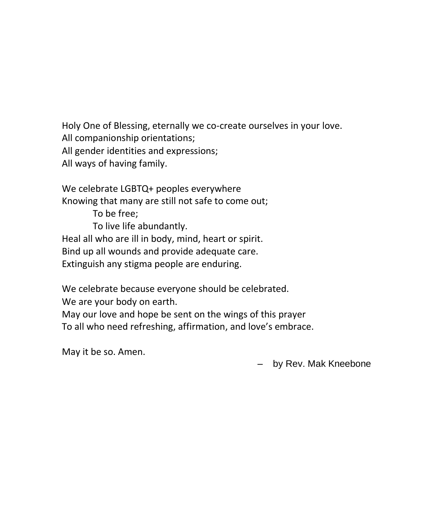Holy One of Blessing, eternally we co-create ourselves in your love. All companionship orientations; All gender identities and expressions; All ways of having family.

We celebrate LGBTQ+ peoples everywhere Knowing that many are still not safe to come out;

To be free; To live life abundantly. Heal all who are ill in body, mind, heart or spirit. Bind up all wounds and provide adequate care. Extinguish any stigma people are enduring.

We celebrate because everyone should be celebrated. We are your body on earth.

May our love and hope be sent on the wings of this prayer To all who need refreshing, affirmation, and love's embrace.

May it be so. Amen.

– by Rev. Mak Kneebone